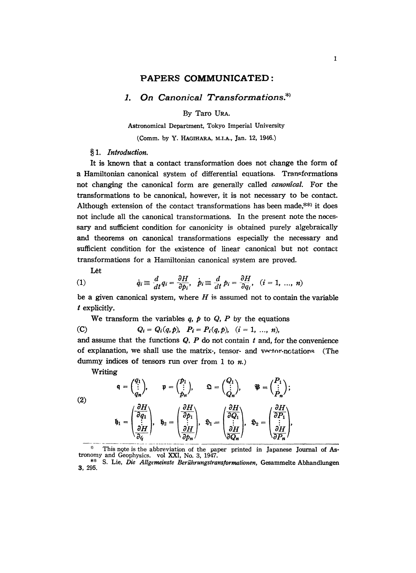## PAPERS COMMUNICATED:

## 1. On Canonical Transformations.\*)

By Taro URA.

Astronomical Department, Tokyo Imperial University

(Comm. by Y. HAGIHARA, M.I.A., Jan. 12, 1946.)

## §1. Introduction.

It is known that a contact transformation does not change the form of a Hamiltonian canonical system of differential equations. Transformations not changing the canonical form are generally called *canonical*. For the transformations to be canonical, however, it is not necessary to be contact. Although extension of the contact transformations has been made,  $*$  it does not include all the canonical transformations. In the present note the necessary and sufficient condition for canonicity is obtained purely algebraically and theorems on canonical transformations especially the necessary and sufficient condition for the existence of linear canonical but not contact transformations for a Hamiltonian canonical system are proved.

Let

(1) 
$$
\dot{q}_i \equiv \frac{d}{dt} q_i = \frac{\partial H}{\partial p_i}, \quad \dot{p}_i \equiv \frac{d}{dt} p_i = \frac{\partial H}{\partial q_i}, \quad (i = 1, ..., n)
$$

be a given canonical system, where  $H$  is assumed not to contain the variable  $t$  explicitly.

We transform the variables  $q$ ,  $p$  to  $Q$ ,  $P$  by the equations

(C) 
$$
Q_i = Q_i(q, p), \quad P_i = P_i(q, p), \quad (i = 1, ..., n)
$$

and assume that the functions  $Q$ ,  $P$  do not contain  $t$  and, for the convenience of explanation, we shall use the matrix-, tensor- and vector-notations (The dummy indices of tensors run over from 1 to  $n$ .)

Writing

(2)  
\n
$$
\mathfrak{q} = \begin{pmatrix} q_1 \\ \vdots \\ q_n \end{pmatrix}, \qquad \mathfrak{p} = \begin{pmatrix} p_1 \\ \vdots \\ p_n \end{pmatrix}, \qquad \mathfrak{Q} = \begin{pmatrix} Q_1 \\ \vdots \\ Q_n \end{pmatrix}, \qquad \mathfrak{P} = \begin{pmatrix} P_1 \\ \vdots \\ P_n \end{pmatrix};
$$
\n(2)  
\n
$$
\mathfrak{h}_1 = \begin{pmatrix} \frac{\partial H}{\partial q_1} \\ \vdots \\ \frac{\partial H}{\partial q} \end{pmatrix}, \qquad \mathfrak{h}_2 = \begin{pmatrix} \frac{\partial H}{\partial p_1} \\ \vdots \\ \frac{\partial H}{\partial p_n} \end{pmatrix}, \qquad \mathfrak{h}_1 = \begin{pmatrix} \frac{\partial H}{\partial Q_1} \\ \vdots \\ \frac{\partial H}{\partial Q_n} \end{pmatrix}, \qquad \mathfrak{h}_2 = \begin{pmatrix} \frac{\partial H}{\partial P_1} \\ \vdots \\ \frac{\partial H}{\partial P_n} \end{pmatrix},
$$

\* This note is the abbreviation of the paper printed in Japanese Journal of Astronomy and Geophysics. vol XXI, No. 3, 1947.

<sup>\*\*</sup> S. Lie, Die Allgemeinste Berührungstransformationen, Gesammelte Abhandlungen 3, 295.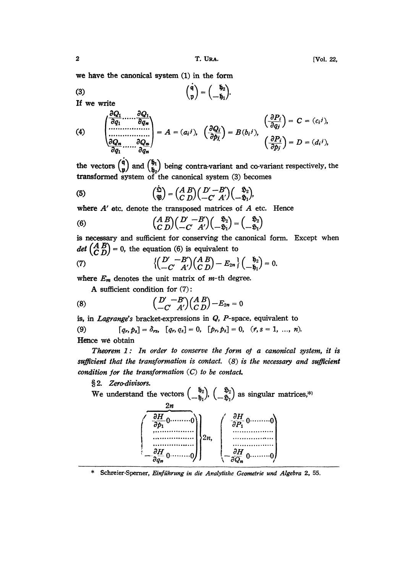we have the canonical system (1) in the form

(3) 
$$
\begin{pmatrix} \dot{q} \\ \dot{p} \end{pmatrix} = \begin{pmatrix} \dot{b}_2 \\ -\dot{b}_1 \end{pmatrix}
$$
 If we write

 $, \partial Q_1$ 

(4) 
$$
\begin{pmatrix}\n\overrightarrow{\partial q_1} & \cdots & \overrightarrow{\partial q_n} \\
\vdots & \vdots & \ddots & \vdots \\
\overrightarrow{\partial Q_n} & \cdots & \overrightarrow{\partial Q_n} \\
\overrightarrow{\partial q_1} & \cdots & \overrightarrow{\partial q_n}\n\end{pmatrix} = A = (a_i j), \quad\n\begin{pmatrix}\n\frac{\partial Q_i}{\partial p_j}\n\end{pmatrix} = B(b_i j), \quad\n\begin{pmatrix}\n\frac{\partial P_i}{\partial q_j}\n\end{pmatrix} = C = (c_i j), \quad\n\begin{pmatrix}\n\frac{\partial P_i}{\partial p_j}\n\end{pmatrix} = D = (d_i j),
$$

the vectors  $\begin{pmatrix} \dot{q} \\ \dot{p} \end{pmatrix}$  and  $\begin{pmatrix} \dot{b}_1 \\ \dot{b}_2 \end{pmatrix}$  being contra-variant and co-variant respectively, the transformed system of the canonical system  $(3)$  becomes

(5) 
$$
\begin{pmatrix} \dot{\mathfrak{D}} \\ \mathfrak{P} \end{pmatrix} = \begin{pmatrix} A & B \\ C & D \end{pmatrix} \begin{pmatrix} D' - B' \\ -C' & A' \end{pmatrix} \begin{pmatrix} \mathfrak{D}_2 \\ -\mathfrak{D}_1 \end{pmatrix},
$$

where  $A'$  etc. denote the transposed matrices of  $A$  etc. Hence

(6) 
$$
\begin{pmatrix} A & B \\ C & D \end{pmatrix} \begin{pmatrix} D' & -B' \\ -C' & A' \end{pmatrix} \begin{pmatrix} \mathfrak{H}_2 \\ -\mathfrak{H}_1 \end{pmatrix} = \begin{pmatrix} \mathfrak{H}_2 \\ -\mathfrak{H}_1 \end{pmatrix}
$$

is necessary and sufficient for conserving the canonical form. Except when det  $\begin{pmatrix} A & B \\ C & D \end{pmatrix} = 0$ , the equation (6) is equivalent to

(7) 
$$
\left\{\begin{pmatrix}D'-B'\\-C'A'\end{pmatrix}\begin{pmatrix}A & B\\C & D\end{pmatrix}-E_{2n}\right\}\begin{pmatrix}\mathfrak{h}_2\\-\mathfrak{h}_1\end{pmatrix}=0.
$$

where  $E_m$  denotes the unit matrix of  $m$ -th degree.

A sufficient condition for (7):

(8) 
$$
\begin{pmatrix} D' & -B' \\ -C' & A' \end{pmatrix} \begin{pmatrix} A & B \\ C & D \end{pmatrix} - E_{2n} = 0
$$

is, in Lagrange's bracket-expressions in Q, P-space, equivalent to

(9) 
$$
[q_r, p_s] = \delta_{rs}, [q_r, q_s] = 0, [p_r, p_s] = 0, (r, s = 1, ..., n).
$$
  
Hence we obtain

Theorem 1: In order to conserve the form of a canonical system, it is sufficient that the transformation is contact.  $(8)$  is the necessary and sufficient condition for the transformation  $(C)$  to be contact.

§2. Zero-divisors.

ectors  $\left( \begin{array}{c} -\hat{\mathfrak{g}}_1^2 \end{array} \right)$ ,  $\left( \begin{array}{c} -\hat{\mathfrak{g}}_1^2 \end{array} \right)$  as singular matrices,\* 2n,  $\partial P_1^{\phantom{1}}$ <sup>0</sup> -/go o,!

Schreier-Sperner, Einführung in die Analytishe Geometrie und Algebra 2, 55.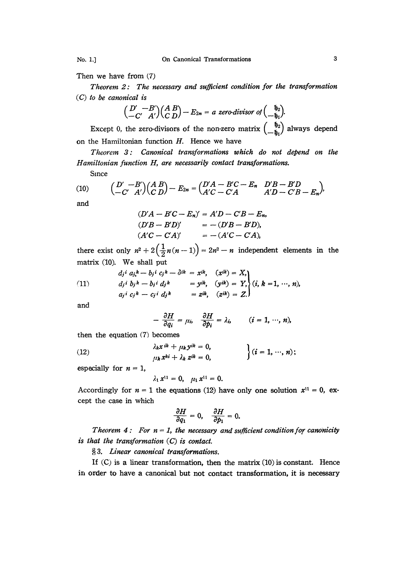Then we have from (7)

Theorem 2: The necessary and sufficient condition for the transformation  $(C)$  to be canonical is

$$
\begin{pmatrix} D' - B' \\ -C' & A' \end{pmatrix} \begin{pmatrix} A & B \\ C & D \end{pmatrix} - E_{2n} = a \text{ zero-divisor of } \begin{pmatrix} \mathfrak{h}_2 \\ -\mathfrak{h}_1 \end{pmatrix}
$$

Except 0, the zero-divisors of the non-zero matrix  $\begin{pmatrix} \mathfrak{h}_2 \\ -\mathfrak{h}_1 \end{pmatrix}$  always depend on the Hamiltonian function  $H$ . Hence we have

Theorem 3: Canonical transformations which do not depend on the Hamiltonian function H, are necessarily contact transformations.

Since

(10) 
$$
\begin{pmatrix} D' & -B' \\ -C' & A' \end{pmatrix} \begin{pmatrix} A & B \\ C & D \end{pmatrix} - E_{2n} = \begin{pmatrix} D'A - B'C - E_n & D'B - B'D \\ A'C - C'A & A'D - C'B - E_n \end{pmatrix},
$$

and

$$
(D'A - B'C - E_n)' = A'D - C'B - E_n,
$$
  
\n
$$
(D'B - B'D)' = -(D'B - B'D),
$$
  
\n
$$
(A'C - CA)' = -(A'C - CA),
$$

there exist only  $n^2 + 2(\frac{1}{2}n(n-1)) = 2n^2 - n$  independent elements in the matrix (10). We shall put

(11) 
$$
d_j i a_j k - b_j i c_j k - \delta i k = x^{ik}, \quad (x^{ik}) = X,
$$

$$
d_j i b_j k - b_j i d_j k = y^{ik}, \quad (y^{ik}) = Y,
$$

$$
a_j i c_j k - c_j i d_j k = z^{ik}, \quad (z^{ik}) = Z.
$$

and

$$
-\frac{\partial H}{\partial q_i} = \mu_i, \quad \frac{\partial H}{\partial p_i} = \lambda_i, \qquad (i = 1, \cdots, n),
$$

then the equation (7) becomes

(12) 
$$
\lambda_k x^{ik} + \mu_k y^{ik} = 0, \mu_k x^{ki} + \lambda_k z^{ik} = 0,
$$
 
$$
\left\{ (i = 1, ..., n) \right\}
$$

especially for  $n = 1$ ,

$$
\lambda_1 x^{11} = 0, \quad \mu_1 x^{11} = 0.
$$

Accordingly for  $n = 1$  the equations (12) have only one solution  $x^{11} = 0$ , except the case in which

$$
\frac{\partial H}{\partial q_1}=0, \quad \frac{\partial H}{\partial p_1}=0.
$$

Theorem 4: For  $n = 1$ , the necessary and sufficient condition for canonicity is that the transformation  $(C)$  is contact.

§3. Linear canonical transformations.

If  $(C)$  is a linear transformation, then the matrix  $(10)$  is constant. Hence in order to have a canonical but not contact transformation, it is necessary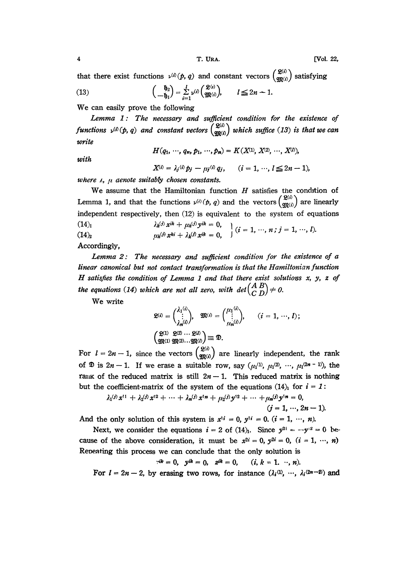[Vol. 22,

that there exist functions  $v^{(i)}(p, q)$  and constant vectors  $\begin{pmatrix} g^{(i)} \\ g^{(i)} \end{pmatrix}$  satisfying  $\left( \begin{array}{cc} \mathfrak{h}_2 \end{array} \right)$   $\perp$  $(2^{(i)}$ 1.

(13) 
$$
\left(-\frac{v_2}{b_1}\right) = \sum_{i=1}^{1} v^{(i)} \left(\frac{v_1}{\mathfrak{M}(i)}\right), \qquad l \leq 2n - 1
$$

We can easily prove the following

Lemma 1: The necessary and sufficient condition for the existence of functions  $v^{(i)}(p, q)$  and constant vectors  $\begin{pmatrix} \mathfrak{L}^{(i)} \\ \mathfrak{M}^{(i)} \end{pmatrix}$  which suffice (13) is that we can write

 $H(q_1, \dots, q_n, p_1, \dots, p_n) = K(X^{(1)}, X^{(2)}, \dots, X^{(l)}),$ 

with

 $X^{(i)} = \lambda_j^{(i)} p_j - \mu_j^{(i)} q_j, \quad (i = 1, \dots, l \leq 2n - 1),$ 

where  $\lambda$ ,  $\mu$  denote suitably chosen constants.

We assume that the Hamiltonian function  $H$  satisfies the condition of Lemma 1, and that the functions  $v^{(i)}(p, q)$  and the vectors  $\begin{pmatrix} \mathfrak{L}^{(i)} \\ \mathfrak{M}^{(i)} \end{pmatrix}$  are linearly independent respectively, then (12) is equivalent to the system of equations  $(14)$ 

 $\lambda_k^{(j)} x^{ik} + \mu_k^{(j)} y^{ik} = 0,$ <br>  $\mu_k^{(j)} x^{ki} + \lambda_k^{(j)} x^{ik} = 0,$ <br>  $(i = 1, ..., n; j = 1, ..., l).$  $(14)_{2}$ 

Accordingly,

Lemma 2: The necessary and sufficient condition for the existence of a linear canonical but not contact transformation is that the Hamiltonian function  $H$  satisfies the condition of Lemma 1 and that there exist solutions  $x$ ,  $y$ ,  $z$  of the equations (14) which are not all zero, with  $det\begin{pmatrix} A & B \\ C & D \end{pmatrix} \neq 0$ .

We write

$$
\mathfrak{L}^{(i)} = \begin{pmatrix} \lambda_1^{(i)} \\ \vdots \\ \lambda_n^{(i)} \end{pmatrix}, \quad \mathfrak{M}^{(i)} = \begin{pmatrix} \mu_1^{(i)} \\ \vdots \\ \mu_n^{(i)} \end{pmatrix}, \qquad (i = 1, \dots, l);
$$

$$
\begin{pmatrix} \mathfrak{L}^{(1)} & \mathfrak{L}^{(2)} & \cdots & \mathfrak{L}^{(l)} \\ \mathfrak{M}^{(1)} & \mathfrak{M}^{(2)} & \cdots & \mathfrak{M}^{(l)} \end{pmatrix} \equiv \mathfrak{D}.
$$

For  $l = 2n - 1$ , since the vectors  $\begin{pmatrix} \mathfrak{L}^{(i)} \\ \mathfrak{M}^{(i)} \end{pmatrix}$  are linearly independent, the rank of  $\mathfrak{D}$  is  $2n - 1$ . If we erase a suitable row, say  $(\mu_1^{(1)}, \mu_1^{(2)}, \cdots, \mu_1^{(2n-1)})$ , the rank of the reduced matrix is still  $2n - 1$ . This reduced matrix is nothing but the coefficient-matrix of the system of the equations  $(14)$  for  $i = 1$ :

$$
\lambda_1^{(j)} x^{11} + \lambda_2^{(j)} x^{12} + \cdots + \lambda_n^{(j)} x^{1n} + \mu_2^{(j)} y^{12} + \cdots + \mu_n^{(j)} y^{1n} = 0,
$$
  
(j = 1, ..., 2n - 1).

And the only solution of this system is  $x^{1i} = 0$ ,  $y^{1i} = 0$ ,  $(i = 1, ..., n)$ .

Next, we consider the equations  $i = 2$  of (14)<sub>1</sub>. Since  $y^{2i} = -y^{i2} = 0$  because of the above consideration, it must be  $x^{2i} = 0$ ,  $y^{2i} = 0$ ,  $(i = 1, ..., n)$ Repeating this process we can conclude that the only solution is

$$
x^{ik}=0, \quad y^{ik}=0, \quad z^{ik}=0, \quad (i, k=1, \cdots, n).
$$

For  $l = 2n - 2$ , by erasing two rows, for instance  $(\lambda_i^{(1)}, \dots, \lambda_i^{(2n-2)})$  and